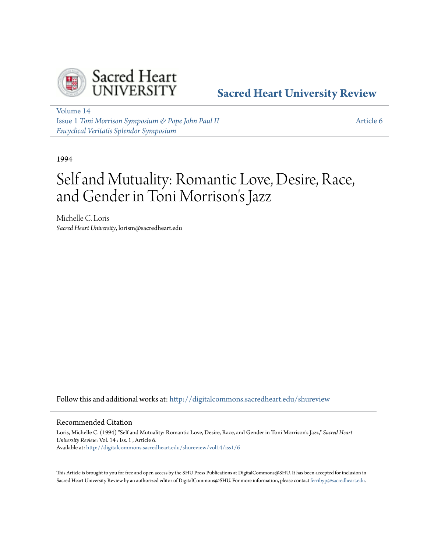

# **[Sacred Heart University Review](http://digitalcommons.sacredheart.edu/shureview?utm_source=digitalcommons.sacredheart.edu%2Fshureview%2Fvol14%2Fiss1%2F6&utm_medium=PDF&utm_campaign=PDFCoverPages)**

[Volume 14](http://digitalcommons.sacredheart.edu/shureview/vol14?utm_source=digitalcommons.sacredheart.edu%2Fshureview%2Fvol14%2Fiss1%2F6&utm_medium=PDF&utm_campaign=PDFCoverPages) Issue 1 *[Toni Morrison Symposium & Pope John Paul II](http://digitalcommons.sacredheart.edu/shureview/vol14/iss1?utm_source=digitalcommons.sacredheart.edu%2Fshureview%2Fvol14%2Fiss1%2F6&utm_medium=PDF&utm_campaign=PDFCoverPages) [Encyclical Veritatis Splendor Symposium](http://digitalcommons.sacredheart.edu/shureview/vol14/iss1?utm_source=digitalcommons.sacredheart.edu%2Fshureview%2Fvol14%2Fiss1%2F6&utm_medium=PDF&utm_campaign=PDFCoverPages)*

[Article 6](http://digitalcommons.sacredheart.edu/shureview/vol14/iss1/6?utm_source=digitalcommons.sacredheart.edu%2Fshureview%2Fvol14%2Fiss1%2F6&utm_medium=PDF&utm_campaign=PDFCoverPages)

1994

# Self and Mutuality: Romantic Love, Desire, Race, and Gender in Toni Morrison 's Jazz

Michelle C. Loris *Sacred Heart University*, lorism@sacredheart.edu

Follow this and additional works at: [http://digitalcommons.sacredheart.edu/shureview](http://digitalcommons.sacredheart.edu/shureview?utm_source=digitalcommons.sacredheart.edu%2Fshureview%2Fvol14%2Fiss1%2F6&utm_medium=PDF&utm_campaign=PDFCoverPages)

#### Recommended Citation

Loris, Michelle C. (1994) "Self and Mutuality: Romantic Love, Desire, Race, and Gender in Toni Morrison's Jazz," *Sacred Heart University Review*: Vol. 14 : Iss. 1 , Article 6. Available at: [http://digitalcommons.sacredheart.edu/shureview/vol14/iss1/6](http://digitalcommons.sacredheart.edu/shureview/vol14/iss1/6?utm_source=digitalcommons.sacredheart.edu%2Fshureview%2Fvol14%2Fiss1%2F6&utm_medium=PDF&utm_campaign=PDFCoverPages)

This Article is brought to you for free and open access by the SHU Press Publications at DigitalCommons@SHU. It has been accepted for inclusion in Sacred Heart University Review by an authorized editor of DigitalCommons@SHU. For more information, please contact [ferribyp@sacredheart.edu](mailto:ferribyp@sacredheart.edu).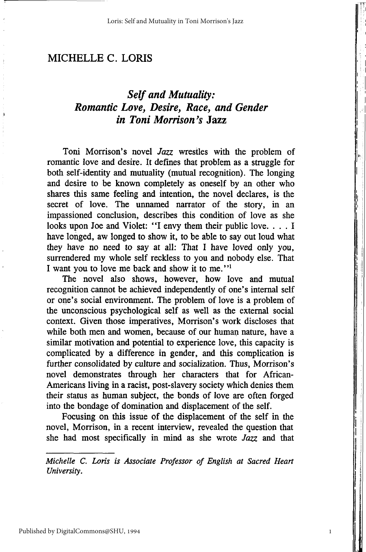## *Self and Mutuality: Romantic Love, Desire, Race, and Gender in Toni Morrison's* **Jaz z**

Toni Morrison's novel *Jazz* wrestles with the problem of romantic love and desire. It defines that problem as a struggle for both self-identity and mutuality (mutual recognition). The longing and desire to be known completely as oneself by an other who shares this same feeling and intention, the novel declares, is the secret of love. The unnamed narrator of the story, in an impassioned conclusion, describes this condition of love as she looks upon Joe and Violet: "I envy them their public love.... I have longed, aw longed to show it, to be able to say out loud what they have no need to say at all: That I have loved only you, surrendered my whole self reckless to you and nobody else. That I want you to love me back and show it to me."<sup>1</sup>

The novel also shows, however, how love and mutual recognition cannot be achieved independently of one's internal self or one's social environment. The problem of love is a problem of the unconscious psychological self as well as the external social context. Given those imperatives, Morrison's work discloses that while both men and women, because of our human nature, have a similar motivation and potential to experience love, this capacity is complicated by a difference in gender, and this complication is further consolidated by culture and socialization. Thus, Morrison's novel demonstrates through her characters that for African-Americans living in a racist, post-slavery society which denies them their status as human subject, the bonds of love are often forged into the bondage of domination and displacement of the self.

Focusing on this issue of the displacement of the self in the novel, Morrison, in a recent interview, revealed the question that she had most specifically in mind as she wrote *Jazz* and that

*Michelle C. Loris is Associate Professor of English at Sacred Heart University.*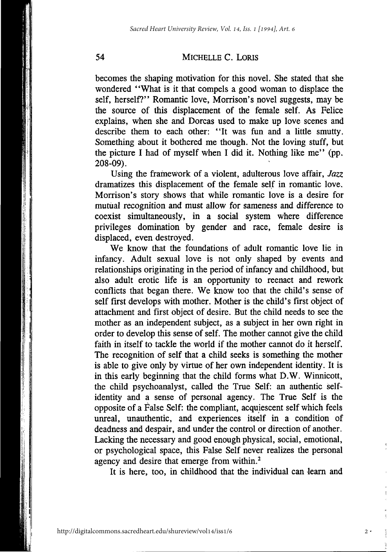becomes the shaping motivation for this novel. She stated that she wondered "What is it that compels a good woman to displace the self, herself?" Romantic love, Morrison's novel suggests, may be the source of this displacement of the female self. As Felice explains, when she and Dorcas used to make up love scenes and describe them to each other: "It was fun and a little smutty. Something about it bothered me though. Not the loving stuff, but the picture I had of myself when I did it. Nothing like me" (pp. 208-09).

Using *the* framework of a violent, adulterous love affair, *Jazz*  dramatizes this displacement of the female self in romantic love. Morrison's story shows that while romantic love is a desire for mutual recognition and must allow for sameness and difference to coexist simultaneously, in a social system where difference privileges domination by gender and race, female desire is displaced, even destroyed.

We know that the foundations of adult romantic love lie in infancy. Adult sexual love is not only shaped by events and relationships originating in the period of infancy and childhood, but also adult erotic life is an opportunity to reenact and rework conflicts that began there. We know too that the child's sense of self first develops with mother. Mother is the child's first object of attachment and first object of desire. But the child needs to see the mother as an independent subject, as a subject in her own right in order to develop this sense of self. The mother cannot give the child faith in itself to tackle the world if the mother cannot do it herself. The recognition of self that a child seeks is something the mother is able to give only by virtue of her own independent identity. It is in this early beginning that the child forms what D.W. Winnicott, the child psychoanalyst, called the True Self: an authentic selfidentity and a sense of personal agency. The True Self is the opposite of a False Self: the compliant, acquiescent self which feels unreal, unauthentic, and experiences itself in a condition of deadness and despair, and under the control or direction of another. Lacking the necessary and good enough physical, social, emotional, or psychological space, this False Self never realizes the personal agency and desire that emerge from within.<sup>2</sup>

It is here, too, in childhood that the individual can learn and

http://digitalcommons.sacredheart.edu/shureview/vol14/iss1/6

 $2.$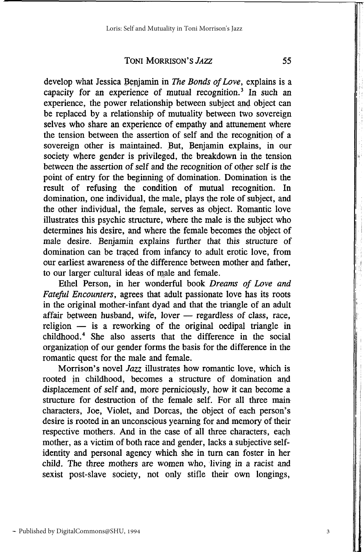develop what Jessica Benjamin in *The Bonds of Love,* explains is a capacity for an experience of mutual recognition.<sup>3</sup> In such an experience, the power relationship between subject and object can be replaced by a relationship of mutuality between two sovereign selves who share an experience of empathy and attunement where the tension between the assertion of self and the recognition of a sovereign other is maintained. But, Benjamin explains, in our society where gender is privileged, the breakdown in the tension between the assertion of self and the recognition of other self is the point of entry for the beginning of domination. Domination is the result of refusing the condition of mutual recognition. In domination, one individual, the male, plays the role of subject, and the other individual, the female, serves as object. Romantic love illustrates this psychic structure, where the male is the subject who determines his desire, and where the female becomes the object of male desire. Benjamin explains further that this structure of domination can be traced from infancy to adult erotic love, from our earliest awareness of the difference between mother and father, to our larger cultural ideas of male and female.

Ethel Person, in her wonderful book *Dreams of Love and Fateful Encounters,* agrees that adult passionate love has its roots in the original mother-infant dyad and that the triangle of an adult affair between husband, wife, lover — regardless of class, race, religion — is a reworking of the original oedipal triangle in childhood.<sup>4</sup> She also asserts that the difference in the social organization of our gender forms the basis for the difference in the romantic quest for the male and female.

Morrison's novel *Jazz* illustrates how romantic love, which is rooted in childhood, becomes a structure of domination and displacement of self and, more perniciously, how it can become a structure for destruction of the female self. For all three main characters, Joe, Violet, and Dorcas, the object of each person's desire is rooted in an unconscious yearning for and memory of their respective mothers. And in the case of all three characters, each mother, as a victim of both race and gender, lacks a subjective selfidentity and personal agency which she in turn can foster in her child. The three mothers are women who, living in a racist and sexist post-slave society, not only stifle their own longings,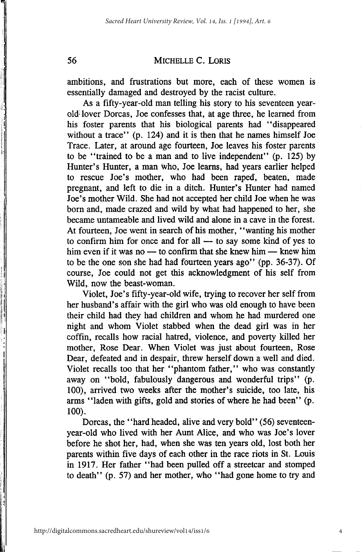ambitions, and frustrations but more, each of these women is essentially damaged and destroyed by the racist culture.

As a fifty-year-old man telling his story to his seventeen yearold: lover Dorcas, Joe confesses that, at age three, he learned from his foster parents that his biological parents had "disappeared without a trace" (p. 124) and it is then that he names himself Joe Trace. Later, at around age fourteen, Joe leaves his foster parents to be "trained to be a man and to live independent" (p. 125) by Hunter's Hunter, a man who, Joe learns, had years earlier helped to rescue Joe's mother, who had been raped, beaten, made pregnant, and left to die in a ditch. Hunter's Hunter had named Joe's mother Wild. She had not accepted her child Joe when he was born and, made crazed and wild by what had happened to her, she became untameable and lived wild and alone in a cave in the forest. At fourteen, Joe went in search of his mother, "wanting his mother to confirm him for once and for all  $-$  to say some kind of yes to him even if it was no — to confirm that she knew him — knew him to be the one son she had had fourteen years ago" (pp. 36-37). Of course, Joe could not get this acknowledgment of his self from Wild, now the beast-woman.

Violet, Joe's fifty-year-old wife, trying to recover her self from her husband's affair with the girl who was old enough to have been their child had they had children and whom he had murdered one night and whom Violet stabbed when the dead girl was in her coffin, recalls how racial hatred, violence, and poverty killed her mother, Rose Dear. When Violet was just about fourteen, Rose Dear, defeated and in despair, threw herself down a well and died. Violet recalls too that her "phantom father," who was constantly away on "bold, fabulously dangerous and wonderful trips" (p. 100), arrived two weeks after the mother's suicide, too late, his arms "laden with gifts, gold and stories of where he had been" (p. 100).

Dorcas, the "hard headed, alive and very bold" (56) seventeenyear-old who lived with her Aunt Alice, and who was Joe's lover before he shot her, had, when she was ten years old, lost both her parents within five days of each other in the race riots in St. Louis in 1917. Her father "had been pulled off a streetcar and stomped to death" (p. 57) and her mother, who "had gone home to try and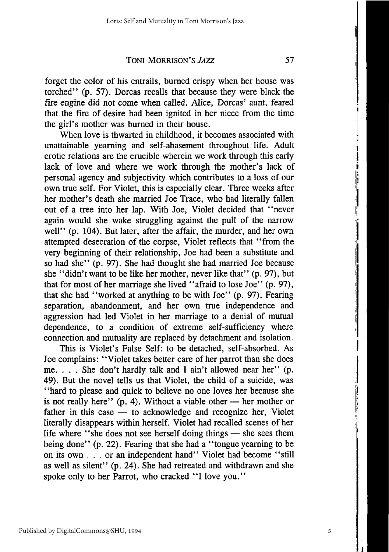forget the color of his entrails, burned crispy when her house was torched" (p. 57). Dorcas recalls that because they were black the fire engine did not come when called. Alice, Dorcas' aunt, feared that the fire of desire had been ignited in her niece from the time the girl's mother was burned in their house.

When love is thwarted in childhood, it becomes associated with unattainable yearning and self-abasement throughout life. Adult erotic relations are the crucible wherein we work through this early lack of love and where we work through the mother's lack of personal agency and subjectivity which contributes to a loss of our own true self. For Violet, this is especially clear. Three weeks after her mother's death she married Joe Trace, who had literally fallen out of a tree into her lap. With Joe, Violet decided that "never again would she wake struggling against the pull of the narrow well" (p. 104). But later, after the affair, the murder, and her own attempted desecration of the corpse, Violet reflects that "from the very beginning of their relationship, Joe had been a substitute and so had she" (p. 97). She had thought she had married Joe because she "didn't want to be like her mother, never like that" (p. 97), but that for most of her marriage she lived "afraid to lose Joe" (p. 97), that she had "worked at anything to be with Joe" (p. 97). Fearing separation, abandonment, and her own true independence and aggression had led Violet in her marriage to a denial of mutual dependence, to a condition of extreme self-sufficiency where connection and mutuality are replaced by detachment and isolation.

This is Violet's False Self: to be detached, self-absorbed. As Joe complains: "Violet takes better care of her parrot than she does me. . . . She don't hardly talk and I ain't allowed near her" (p. 49). But the novel tells us that Violet, the child of a suicide, was "hard to please and quick to believe no one loves her because she is not really here"  $(p, 4)$ . Without a viable other — her mother or father in this case — to acknowledge and recognize her, Violet literally disappears within herself. Violet had recalled scenes of her life where "she does not see herself doing things — she sees them being done" (p. 22). Fearing that she had a "tongue yearning to be on its own .. . or an independent hand" Violet had become "still as well as silent" (p. 24). She had retreated and withdrawn and she spoke only to her Parrot, who cracked "I love you."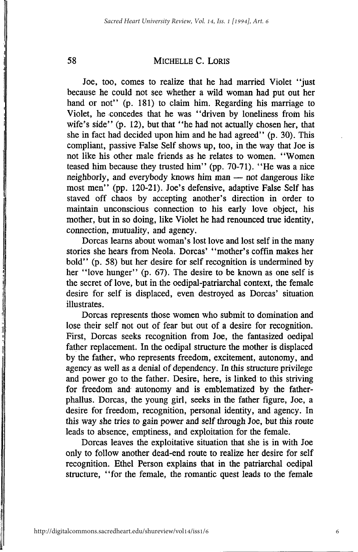Joe, too, comes to realize that he had married Violet "just because he could not see whether a wild woman had put out her hand or not" (p. 181) to claim him. Regarding his marriage to Violet, he concedes that he was "driven by loneliness from his wife's side" (p. 12), but that "he had not actually chosen her, that she in fact had decided upon him and he had agreed" (p. 30). This compliant, passive False Self shows up, too, in the way that Joe is not like his other male friends as he relates to women. "Women teased him because they trusted him" (pp. 70-71). "He was a nice neighborly, and everybody knows him man — not dangerous like most men" (pp. 120-21). Joe's defensive, adaptive False Self has staved off chaos by accepting another's direction in order to maintain unconscious connection to his early love object, his mother, but in so doing, like Violet he had renounced true identity, connection, mutuality, and agency.

Dorcas learns about woman's lost love and lost self in the many stories she hears from Neola. Dorcas' "mother's coffin makes her bold" (p. 58) but her desire for self recognition is undermined by her "love hunger" (p. 67). The desire to be known as one self is the secret of love, but in the oedipal-patriarchal context, the female desire for self is displaced, even destroyed as Dorcas' situation illustrates.

Dorcas represents those women who submit to domination and lose their self not out of fear but out of a desire for recognition. First, Dorcas seeks recognition from Joe, the fantasized oedipal father replacement. In the oedipal structure the mother is displaced by the father, who represents freedom, excitement, autonomy, and agency as well as a denial of dependency. In this structure privilege and power go to the father. Desire, here, is linked to this striving for freedom and autonomy and is emblematized by the fatherphallus. Dorcas, the young girl, seeks in the father figure, Joe, a desire for freedom, recognition, personal identity, and agency. In this way she tries to gain power and self through Joe, but this route leads to absence, emptiness, and exploitation for the female.

Dorcas leaves the exploitative situation that she is in with Joe only to follow another dead-end route to realize her desire for self recognition. Ethel Person explains that in the patriarchal oedipal structure, "for the female, the romantic quest leads to the female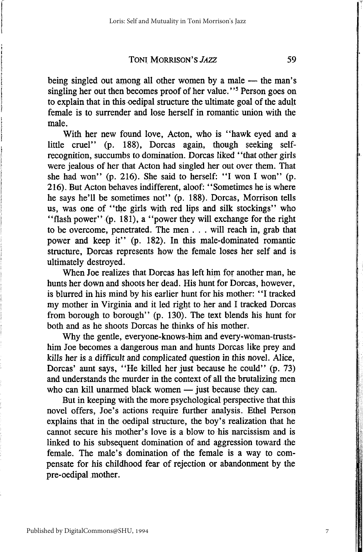being singled out among all other women by a male — the man's singling her out then becomes proof of her value."<sup>5</sup> Person goes on to explain that in this oedipal structure the ultimate goal of the adult female is to surrender and lose herself in romantic union with the male.

With her new found love, Acton, who is "hawk eyed and a little cruel" (p. 188), Dorcas again, though seeking selfrecognition, succumbs to domination. Dorcas liked "that other girls were jealous of her that Acton had singled her out over them. That she had won" (p. 216). She said to herself: "I won I won" (p. 216). But Acton behaves indifferent, aloof: "Sometimes he is where he says he'll be sometimes not" (p. 188). Dorcas, Morrison tells us, was one of "the girls with red lips and silk stockings" who "flash power" (p. 181), a "power they will exchange for the right to be overcome, penetrated. The men . . . will reach in, grab that power and keep it" (p. 182). In this male-dominated romantic structure, Dorcas represents how the female loses her self and is ultimately destroyed.

When Joe realizes that Dorcas has left him for another man, he hunts her down and shoots her dead. His hunt for Dorcas, however, is blurred in his mind by his earlier hunt for his mother: "I tracked my mother in Virginia and it led right to her and I tracked Dorcas from borough to borough" (p. 130). The text blends his hunt for both and as he shoots Dorcas he thinks of his mother.

Why the gentle, everyone-knows-him and every-woman-trustshim Joe becomes a dangerous man and hunts Dorcas like prey and kills her is a difficult and complicated question in this novel. Alice, Dorcas' aunt says, "He killed her just because he could" (p. 73) and understands the murder in the context of all the brutalizing men who can kill unarmed black women — just because they can.

But in keeping with the more psychological perspective that this novel offers, Joe's actions require further analysis. Ethel Person explains that in the oedipal structure, the boy's realization that he cannot secure his mother's love is a blow to his narcissism and is linked to his subsequent domination of and aggression toward the female. The male's domination of the female is a way to compensate for his childhood fear of rejection or abandonment by the pre-oedipal mother.

7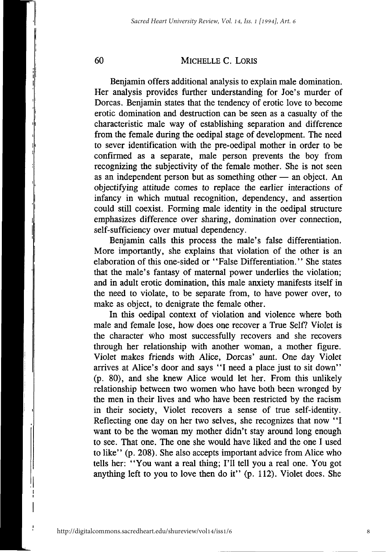Benjamin offers additional analysis to explain male domination. Her analysis provides further understanding for Joe's murder of Dorcas. Benjamin states that the tendency of erotic love to become erotic domination and destruction can be seen as a casualty of the characteristic male way of establishing separation and difference from the female during the oedipal stage of development. The need to sever identification with the pre-oedipal mother in order to be confirmed as a separate, male person prevents the boy from recognizing the subjectivity of the female mother. She is not seen as an independent person but as something other — an object. An objectifying attitude comes to replace the earlier interactions of infancy in which mutual recognition, dependency, and assertion could still coexist. Forming male identity in the oedipal structure emphasizes difference over sharing, domination over connection, self-sufficiency over mutual dependency.

Benjamin calls this process the male's false differentiation. More importantly, she explains that violation of the other is an elaboration of this one-sided or "False Differentiation." She states that the male's fantasy of maternal power underlies the violation; and in adult erotic domination, this male anxiety manifests itself in the need to violate, to be separate from, to have power over, to make as object, to denigrate the female other.

In this oedipal context of violation and violence where both male and female lose, how does one recover a True Self? Violet is the character who most successfully recovers and she recovers through her relationship with another woman, a mother figure. Violet makes friends with Alice, Dorcas' aunt. One day Violet arrives at Alice's door and says "I need a place just to sit down" (p. 80), and she knew Alice would let her. From this unlikely relationship between two women who have both been wronged by the men in their lives and who have been restricted by the racism in their society, Violet recovers a sense of true self-identity. Reflecting one day on her two selves, she recognizes that now "I want to be the woman my mother didn't stay around long enough to see. That one. The one she would have liked and the one I used to like" (p. 208). She also accepts important advice from Alice who tells her: "You want a real thing; I'll tell you a real one. You got anything left to you to love then do it" (p. 112). Violet does. She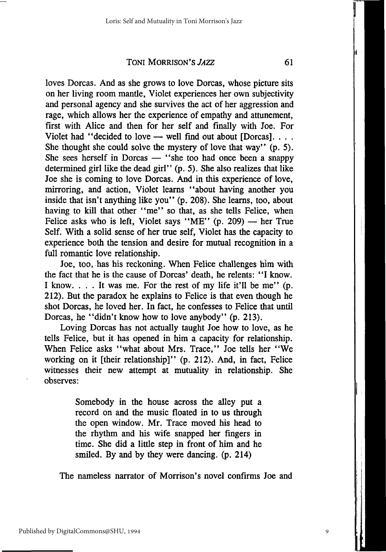loves Dorcas. And as she grows to love Dorcas, whose picture sits on her living room mantle, Violet experiences her own subjectivity and personal agency and she survives the act of her aggression and rage, which allows her the experience of empathy and attunement, first with Alice and then for her self and finally with Joe. For Violet had "decided to love — well find out about [Dorcas]. . . . She thought she could solve the mystery of love that way" (p. 5). She sees herself in Dorcas — "she too had once been a snappy determined girl like the dead girl" (p. 5). She also realizes that like Joe she is coming to love Dorcas. And in this experience of love, mirroring, and action, Violet learns "about having another you inside that isn't anything like you" (p. 208). She learns, too, about having to kill that other "me" so that, as she tells Felice, when Felice asks who is left, Violet says "ME"  $(p. 209)$  — her True Self. With a solid sense of her true self, Violet has the capacity to experience both the tension and desire for mutual recognition in a full romantic love relationship.

Joe, too, has his reckoning. When Felice challenges him with the fact that he is the cause of Dorcas' death, he relents: "I know. I know. .. . It was me. For the rest of my life it'll be me" (p. 212). But the paradox he explains to Felice is that even though he shot Dorcas, he loved her. In fact, he confesses to Felice that until Dorcas, he "didn't know how to love anybody" (p. 213).

Loving Dorcas has not actually taught Joe how to love, as he tells Felice, but it has opened in him a capacity for relationship. When Felice asks "what about Mrs. Trace," Joe tells her "We working on it [their relationship]" (p. 212). And, in fact, Felice witnesses their new attempt at mutuality in relationship. She observes:

> Somebody in the house across the alley put a record on and the music floated in to us through the open window. Mr. Trace moved his head to the rhythm and his wife snapped her fingers in time. She did a little step in front of him and he smiled. By and by they were dancing, (p. 214)

The nameless narrator of Morrison's novel confirms Joe and